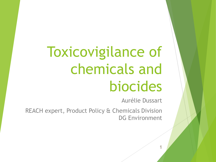# Toxicovigilance of chemicals and biocides

Aurélie Dussart

REACH expert, Product Policy & Chemicals Division DG Environment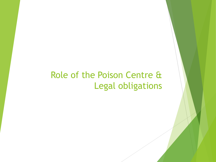#### Role of the Poison Centre & Legal obligations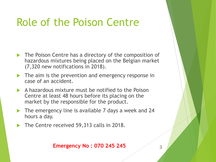### Role of the Poison Centre

- The Poison Centre has a directory of the composition of hazardous mixtures being placed on the Belgian market (7,320 new notifications in 2018).
- The aim is the prevention and emergency response in case of an accident.
- A hazardous mixture must be notified to the Poison Centre at least 48 hours before its placing on the market by the responsible for the product.
- The emergency line is available 7 days a week and 24 hours a day.
- The Centre received 59,313 calls in 2018.

#### **Emergency No : 070 245 245** 225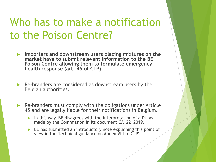### Who has to make a notification to the Poison Centre?

- **Importers and downstream users placing mixtures on the market have to submit relevant information to the BE Poison Centre allowing them to formulate emergency health response (art. 45 of CLP).**
- Re-branders are considered as downstream users by the Belgian authorities.
- Re-branders must comply with the obligations under Article 45 and are legally liable for their notifications in Belgium.
	- In this way, BE disagrees with the interpretation of a DU as made by the Commission in its document CA\_22\_2019.
	- BE has submitted an introductory note explaining this point of view in the 'technical guidance on Annex VIII to CLP'.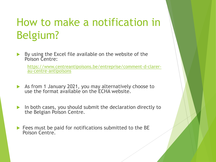### How to make a notification in Belgium?

 By using the Excel file available on the website of the Poison Centre:

[https://www.centreantipoisons.be/entreprise/comment-d-clarer](https://www.centreantipoisons.be/entreprise/comment-d-clarer-au-centre-antipoisons)au-centre-antipoisons

- As from 1 January 2021, you may alternatively choose to use the format available on the ECHA website.
- $\blacktriangleright$  In both cases, you should submit the declaration directly to the Belgian Poison Centre.
- $\triangleright$  Fees must be paid for notifications submitted to the BE Poison Centre.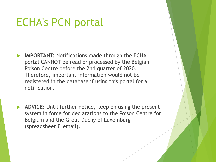### ECHA's PCN portal

- **IMPORTANT:** Notifications made through the ECHA portal CANNOT be read or processed by the Belgian Poison Centre before the 2nd quarter of 2020. Therefore, important information would not be registered in the database if using this portal for a notification.
- **ADVICE:** Until further notice, keep on using the present system in force for declarations to the Poison Centre for Belgium and the Great-Duchy of Luxemburg (spreadsheet & email).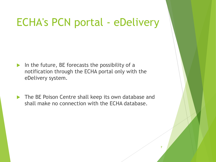### ECHA's PCN portal - eDelivery

- In the future, BE forecasts the possibility of a notification through the ECHA portal only with the eDelivery system.
- The BE Poison Centre shall keep its own database and shall make no connection with the ECHA database.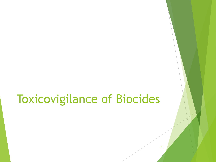### Toxicovigilance of Biocides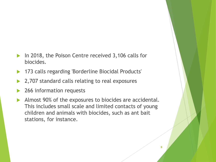- ▶ In 2018, the Poison Centre received 3,106 calls for biocides.
- 173 calls regarding 'Borderline Biocidal Products'
- 2,707 standard calls relating to real exposures
- 266 information requests
- Almost 90% of the exposures to biocides are accidental. This includes small scale and limited contacts of young children and animals with biocides, such as ant bait stations, for instance.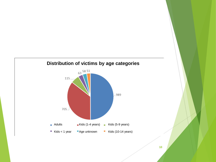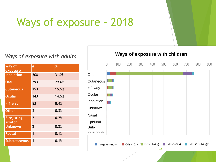### Ways of exposure - 2018

#### *Ways of exposure with adults*

| Way of<br>exposure      | #              | %     |
|-------------------------|----------------|-------|
| <b>Inhalation</b>       | 308            | 31.2% |
| <b>Oral</b>             | 293            | 29.6% |
| <b>Cutaneous</b>        | 153            | 15.5% |
| <b>Ocular</b>           | 143            | 14.5% |
| $> 1$ way               | 83             | 8.4%  |
| <b>Other</b>            | 3              | 0.3%  |
| Bite, sting,<br>scratch | $\overline{2}$ | 0.2%  |
| <b>Unknown</b>          | $\overline{2}$ | 0.2%  |
| <b>Rectal</b>           | 1              | 0.1%  |
| <b>Subcutaneous</b>     | 1              | 0.1%  |

**Ways of exposure with children**

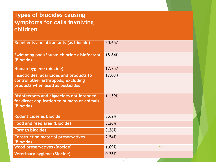| <b>Types of biocides causing</b><br>symptoms for calls involving<br>children                                        |             |  |
|---------------------------------------------------------------------------------------------------------------------|-------------|--|
| <b>Repellents and attractants (as biocide)</b>                                                                      | 20.65%      |  |
| Swimming pool/Sauna: chlorine disinfectant<br>(Biocide)                                                             | 18.84%      |  |
| Human hygiene (biocide)                                                                                             | 17.75%      |  |
| Insecticides, acaricides and products to<br>control other arthropods, excluding<br>products when used as pesticides | 17.03%      |  |
| Disinfectants and algaecides not intended<br>for direct application to humans or animals<br>(Biocide)               | 11.59%      |  |
| Rodenticides as biocide                                                                                             | 3.62%       |  |
| <b>Food and feed area (Biocide)</b>                                                                                 | 3.26%       |  |
| <b>Foreign biocides</b>                                                                                             | 3.26%       |  |
| <b>Construction material preservatives</b><br>(Biocide)                                                             | 2.54%       |  |
| <b>Wood preservatives (Biocide)</b>                                                                                 | 1.09%<br>12 |  |
| <b>Veterinary hygiene (Biocide)</b>                                                                                 | 0.36%       |  |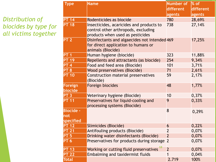#### *Distribution of biocides by type for all victims together*

| <b>Type</b>      | <b>Name</b>                                          | Number of               | % of             |
|------------------|------------------------------------------------------|-------------------------|------------------|
|                  |                                                      | different               | <b>different</b> |
|                  |                                                      | agents                  | agents           |
| <b>PT 14</b>     | Rodenticides as biocide                              | 780                     | 28,69%           |
| <b>PT 18</b>     | Insecticides, acaricides and products to             | 738                     | 27,14%           |
|                  | control other arthropods, excluding                  |                         |                  |
|                  | products when used as pesticides                     |                         |                  |
| <b>PT 2</b>      | Disinfectants and algaecides not intended 469        |                         | 17,25%           |
|                  | for direct application to humans or                  |                         |                  |
|                  | animals (Biocide)                                    |                         |                  |
| <b>PT 1</b>      | Human hygiene (biocide)                              | 323                     | 11,88%           |
| <b>PT 19</b>     | Repellents and attractants (as biocide)              | 254                     | 9,34%            |
| <b>PT 4</b>      | Food and feed area (Biocide)                         | 101                     | 3,71%            |
| <b>PT 8</b>      | <b>Wood preservatives (Biocide)</b>                  | 71                      | 2,61%            |
| <b>PT 10</b>     | <b>Construction material preservatives</b>           | 59                      | 2,17%            |
|                  | (Biocide)                                            |                         |                  |
| Foreign          | Foreign biocides                                     | 48                      | 1,77%            |
| biocide          |                                                      |                         |                  |
| <b>PT 3</b>      | Veterinary hygiene (Biocide)                         | 10                      | 0,37%            |
| <b>PT 11</b>     | Preservatives for liquid-cooling and                 | 9                       | 0,33%            |
|                  | processing systems (Biocide)                         |                         |                  |
| <b>Biocide -</b> |                                                      | 8                       | 0,29%            |
| Inot             |                                                      |                         |                  |
| specified        |                                                      |                         |                  |
| <b>PT 12</b>     | Slimicides (Biocide)                                 | 6                       | 0,22%            |
| <b>PT 21</b>     | Antifouling products (Biocide)                       | $\overline{2}$          | 0,07%            |
| <b>PT 5</b>      | Drinking water disinfectants (Biocide)               | $\overline{\mathbf{c}}$ | 0,07%            |
| <b>PT 6</b>      | Preservatives for products during storage 2          |                         | 0,07%            |
| <b>PT 13</b>     | Working or cutting fluid preservatives <sup>13</sup> | $\overline{2}$          | 0,07%            |
| <b>PT 22</b>     | <b>Embalming and taxidermist fluids</b>              |                         | 0,04%            |
| <b>Total</b>     |                                                      | 2.719                   | 100%             |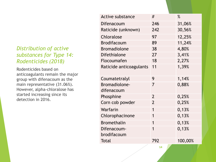#### *Distribution of active substances for Type 14: Rodenticides (2018)*

Rodenticides based on anticoagulants remain the major group with difenacoum as the main representative (31.06%). However, alpha-chloralose has started increasing since its detection in 2016.

| <b>Active substance</b> | #              | $\%$    |
|-------------------------|----------------|---------|
| Difenacoum              | 246            | 31,06%  |
| Raticide (unknown)      | 242            | 30,56%  |
| Chloralose              | 97             | 12,25%  |
| <b>Brodifacoum</b>      | 89             | 11,24%  |
| <b>Bromadiolone</b>     | 38             | 4,80%   |
| <b>Difethialone</b>     | 27             | 3,41%   |
| Flocoumafen             | 18             | 2,27%   |
| Raticide anticoagulants | 11             | 1,39%   |
| Coumatetralyl           | 9              | 1,14%   |
| Bromadiolone-           | 7              | 0,88%   |
| difenacoum              |                |         |
| Phosphine               | $\overline{2}$ | 0,25%   |
| Corn cob powder         | $\overline{2}$ | 0,25%   |
| Warfarin                | 1              | 0,13%   |
| Chlorophacinone         | 1              | 0,13%   |
| <b>Bromethalin</b>      | 1              | 0,13%   |
| Difenacoum-             | 1              | 0,13%   |
| brodifacoum             |                |         |
| Total                   | 792            | 100,00% |
|                         |                |         |

**14**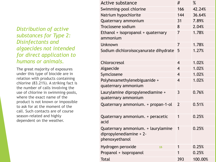*Distribution of active substances for Type 2: Disinfectants and algaecides not intended for direct application to humans or animals.* 

The great majority of exposures under this type of biocide are in relation with products containing chlorine (83.21%). A striking fact is the number of calls involving the use of chlorine in swimming-pools, where the exact name of the product is not known or impossible to ask for at the moment of the call. Such contacts are of course season-related and highly dependent on the weather.

| <b>Active substance</b>               | #              | $\%$    |
|---------------------------------------|----------------|---------|
| Swimming-pool chlorine                | 166            | 42.24%  |
| Natrium hypochlorite                  | 144            | 36.64%  |
| Quaternary ammonium                   | 31             | 7.89%   |
| <b>Troclosene sodium</b>              | 8              | 2.04%   |
| Ethanol + isopropanol + quaternary    | 7              | 1.78%   |
| ammonium                              |                |         |
| Unknown                               | 7              | 1.78%   |
| Sodium dichloroisocyanurate dihydrate | 5              | 1.27%   |
|                                       |                |         |
| Chlorocresol                          | $\overline{4}$ | 1.02%   |
| Algaecide                             | $\overline{4}$ | 1.02%   |
| Symclosene                            | $\overline{4}$ | 1.02%   |
| Polyhexamethylenebiguanide +          | $\overline{4}$ | 1.02%   |
| quaternary ammonium                   |                |         |
| Laurylamine dipropylenediamine +      | 3              | 0.76%   |
| quaternary ammonium                   |                |         |
| Quaternary ammonium. + propan-1-ol    | $\overline{2}$ | 0.51%   |
|                                       |                |         |
| Quaternary ammonium. + peracetic      | 1              | 0.25%   |
| acid                                  |                |         |
| Quaternary ammonium. + laurylamine    | 1              | 0.25%   |
| dipropylenediamine + 2-               |                |         |
| phenoxyethanol                        |                |         |
| Hydrogen peroxide<br>15               | 1              | 0.25%   |
| Propanol + isopropanol                | 1              | 0.25%   |
| <b>Total</b>                          | 393            | 100.00% |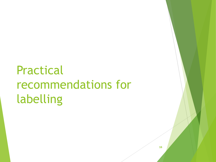## Practical recommendations for labelling